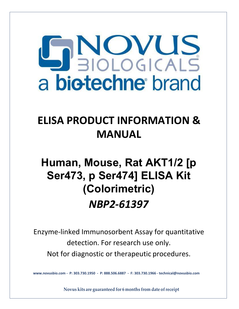

### **ELISA PRODUCT INFORMATION & MANUAL**

## **Human, Mouse, Rat AKT1/2 [p Ser473, p Ser474] ELISA Kit (Colorimetric)** *NBP2-61397*

Enzyme-linked Immunosorbent Assay for quantitative detection. For research use only. Not for diagnostic or therapeutic procedures.

**www.novusbio.com - P: 303.730.1950 - P: 888.506.6887 - F: 303.730.1966 - technical@novusbio.com**

**Novus kits are guaranteed for 6 months from date ofreceipt**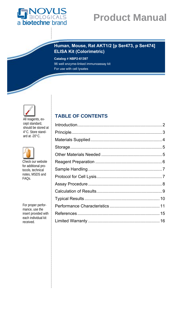

#### **Human, Mouse, Rat AKT1/2 [p Ser473, p Ser474] ELISA Kit (Colorimetric)**

**Catalog # NBP2-61397** 96 well enzyme-linked immunoassay kit For use with cell lysates



All reagents, except standard, should be stored at 4°C. Store standard at -20°C.



Check our website for additional protocols, technical notes, MSDS and FAQs.

For proper performance, use the insert provided with each individual kit received.

### **TABLE OF CONTENTS**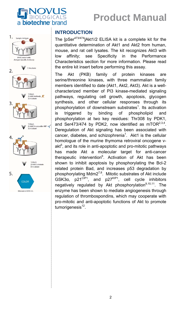



#### **INTRODUCTION**

The [pSer<sup>473/474</sup>]Akt1/2 ELISA kit is a complete kit for the quantitative determination of Akt1 and Akt2 from human, mouse, and rat cell lysates. The kit recognizes Akt3 with low affinity; see Specificity in the Performance Characteristics section for more information. Please read the entire kit insert before performing this assay.

The Akt (PKB) family of protein kinases are serine/threonine kinases, with three mammalian family members identified to date (Akt1, Akt2, Akt3). Akt is a wellcharacterized member of PI3 kinase-mediated signaling pathways, regulating cell growth, apoptosis, glycogen synthesis, and other cellular responses through its phosphorylation of downstream substrates<sup>1</sup>. Its activation is triggered by binding of phospholipid and phosphorylation at two key residues: Thr308 by PDK1, and Ser473/474 by PDK2, now identified as mTOR $^{2,3,4}$ . Deregulation of Akt signaling has been associated with cancer, diabetes, and schizophrenia<sup>1</sup>. Akt1 is the cellular homologue of the murine thymoma retroviral oncogene vakt<sup>5</sup>, and its role in anti-apoptotic and pro-mitotic pathways has made Akt a molecular target for anti-cancer therapeutic intervention<sup>6</sup>. Activation of Akt has been shown to inhibit apoptosis by phosphorylating the Bcl-2 related protein Bad, and increases p53 degradation by phosphorylating Mdm $2^{7,8}$ . Mitotic substrates of Akt include GSK3 $\alpha$ , p21<sup>CIP1</sup>, and p27<sup>KIP1</sup>, cell cycle inhibitors negatively regulated by Akt phosphorylation<sup>9,10,11</sup>. The enzyme has been shown to mediate angiogenesis through regulation of thrombospondins, which may cooperate with pro-mitotic and anti-apoptotic functions of Akt to promote tumorigenesis $12$ .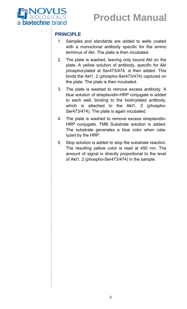

#### **PRINCIPLE**

- 1. Samples and standards are added to wells coated with a monoclonal antibody specific for the amino terminus of Akt. The plate is then incubated.
- 2. The plate is washed, leaving only bound Akt on the plate. A yellow solution of antibody, specific for Akt phosphorylated at Ser473/474, is then added. This binds the Akt1, 2 (phospho-Ser473/474) captured on the plate. The plate is then incubated.
- 3. The plate is washed to remove excess antibody. A blue solution of streptavidin-HRP conjugate is added to each well, binding to the biotinylated antibody, which is attached to the Akt1, 2 (phospho-Ser473/474). The plate is again incubated.
- 4. The plate is washed to remove excess streptavidin-HRP conjugate. TMB Substrate solution is added. The substrate generates a blue color when catalyzed by the HRP.
- 5. Stop solution is added to stop the substrate reaction. The resulting yellow color is read at 450 nm. The amount of signal is directly proportional to the level of Akt1, 2 (phospho-Ser473/474) in the sample.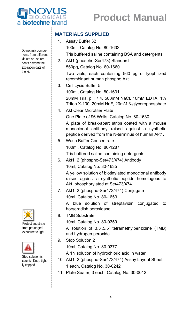

#### **MATERIALS SUPPLIED**

- 1. Assay Buffer 32 100ml, Catalog No. 80-1632 Tris buffered saline containing BSA and detergents.
- 2. Akt1 (phospho-Ser473) Standard 560pg, Catalog No. 80-1660 Two vials, each containing 560 pg of lyophilized recombinant human phospho Akt1.
- 3. Cell Lysis Buffer 5 100ml, Catalog No. 80-1631 20mM Tris, pH 7.4, 500mM NaCl, 10mM EDTA, 1% Triton X-100, 20mM NaF, 20mM β-glycerophosphate
- 4. Akt Clear Microtiter Plate One Plate of 96 Wells, Catalog No. 80-1630

A plate of break-apart strips coated with a mouse monoclonal antibody raised against a synthetic peptide derived from the N-terminus of human Akt1.

5. Wash Buffer Concentrate 100ml, Catalog No. 80-1287

Tris buffered saline containing detergents.

6. Akt1, 2 (phospho-Ser473/474) Antibody

10ml, Catalog No. 80-1635

A yellow solution of biotinylated monoclonal antibody raised against a synthetic peptide homologous to Akt, phosphorylated at Ser473/474.

7. Akt1, 2 (phospho-Ser473/474) Conjugate 10ml, Catalog No. 80-1653

A blue solution of streptavidin conjugated to horseradish peroxidase.

8. TMB Substrate

10ml, Catalog No. 80-0350

A solution of 3,3',5,5' tetramethylbenzidine (TMB) and hydrogen peroxide

9. Stop Solution 2

10ml, Catalog No. 80-0377

A 1N solution of hydrochloric acid in water

- 10. Akt1, 2 (phospho-Ser473/474) Assay Layout Sheet 1 each, Catalog No. 30-0242
- 11. Plate Sealer, 3 each, Catalog No. 30-0012

Do not mix components from different kit lots or use reagents beyond the expiration date of the kit.



Protect substrate from prolonged exposure to light.



Stop solution is caustic. Keep tightly capped.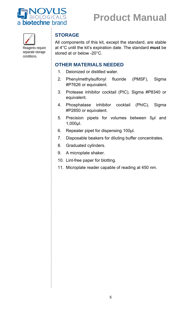

Reagents require separate storage conditions.

### **STORAGE**

All components of this kit, except the standard, are stable at 4°C until the kit's expiration date. The standard **must** be stored at or below -20°C.

#### **OTHER MATERIALS NEEDED**

- 1. Deionized or distilled water.
- 2. Phenylmethylsulfonyl fluoride (PMSF), Sigma #P7626 or equivalent.
- 3. Protease inhibitor cocktail (PIC), Sigma #P8340 or equivalent.
- 4. Phosphatase inhibitor cocktail (PhIC), Sigma #P2850 or equivalent.
- 5. Precision pipets for volumes between 5µl and 1,000µl.
- 6. Repeater pipet for dispensing 100µl.
- 7. Disposable beakers for diluting buffer concentrates.
- 8. Graduated cylinders.
- 9. A microplate shaker.
- 10. Lint-free paper for blotting.
- 11. Microplate reader capable of reading at 450 nm.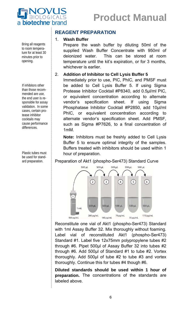

Bring all reagents to room temperature for at least 30 minutes prior to opening.

If inhibitors other than those recommended are use, the end user is responsible for assay validation. In some cases, certain protease inhibitor cocktails may cause performance differences.

Plastic tubes must be used for standard preparation.

#### **REAGENT PREPARATION**

#### 1. **Wash Buffer**

Prepare the wash buffer by diluting 50ml of the supplied Wash Buffer Concentrate with 950ml of deionized water. This can be stored at room temperature until the kit's expiration, or for 3 months, whichever is earlier.

#### 2. **Addition of Inhibitor to Cell Lysis Buffer 5**

Immediately prior to use, PIC, PhIC, and PMSF must be added to Cell Lysis Buffer 5. If using Sigma Protease Inhibitor Cocktail #P8340, add 0.5µl/ml PIC, or equivalent concentration according to alternate vendor's specification sheet. If using Sigma Phosphatase Inhibitor Cocktail #P2850, add 10µl/ml PhIC, or equivalent concentration according to alternate vendor's specification sheet. Add PMSF, such as Sigma #P7626, to a final concentration of 1mM.

**Note:** Inhibitors must be freshly added to Cell Lysis Buffer 5 to ensure optimal integrity of the samples. Buffers treated with inhibitors should be used within 1 hour of preparation.

#### Preparation of Akt1 (phospho-Ser473) Standard Curve



Reconstitute one vial of Akt1 (phospho-Ser473) Standard with 1ml Assay Buffer 32. Mix thoroughly without foaming. Label vial of reconstituted Akt1 (phospho-Ser473) Standard #1. Label five 12x75mm polypropylene tubes #2 through #6. Pipet 500µl of Assay Buffer 32 into tubes #2 through #6. Add 500µl of Standard #1 to tube #2. Vortex thoroughly. Add 500µl of tube #2 to tube #3 and vortex thoroughly. Continue this for tubes #4 though #6.

**Diluted standards should be used within 1 hour of preparation.** The concentrations of the standards are labeled above.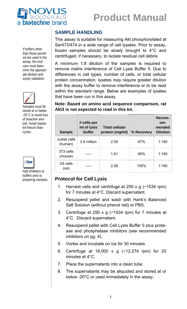

#### **SAMPLE HANDLING**

This assay is suitable for measuring Akt phosphorylated at Ser473/474 in a wide range of cell lysates. Prior to assay, frozen samples should be slowly brought to 4°C and centrifuged, if necessary, to isolate residual cell debris.

A minimum 1:8 dilution of the samples is required to remove matrix interference of Cell Lysis Buffer 5. Due to differences in cell types, number of cells, or total cellular protein concentration, lysates may require greater dilution with the assay buffer to remove interference or to be read within the standard range. Below are examples of lysates that have been run in this assay.

**Note: Based on amino acid sequence comparison, rat Akt3 is not expected to read in this kit.**

| <b>Sample</b>                    | # cells per<br>ml of lysis<br>buffer | <b>Total cellular</b><br>protein (mg/ml) | % Recovery | Recom-<br>om-<br>mended<br><b>Dilution</b> |
|----------------------------------|--------------------------------------|------------------------------------------|------------|--------------------------------------------|
| Jurkat cells<br>(human)          | 2.6 million                          | 2.09                                     | 97%        | 1:160                                      |
| 3T <sub>3</sub> cells<br>(mouse) |                                      | 1.61                                     | 90%        | 1:160                                      |
| C6 cells<br>(rat)                |                                      | 2.58                                     | 100%       | 1:160                                      |

#### **Protocol for Cell Lysis**

- 1. Harvest cells and centrifuge at  $250 \times g$  (~1534 rpm) for 7 minutes at 4°C. Discard supernatant.
- 2. Resuspend pellet and wash with Hank's Balanced Salt Solution (without phenol red) or PBS.
- 3. Centrifuge at 250 x g (~1534 rpm) for 7 minutes at 4°C. Discard supernatant.
- 4. Resuspend pellet with Cell Lysis Buffer 5 plus protease and phosphatase inhibitors (see recommended inhibitors on pg. 4).
- 5. Vortex and incubate on ice for 30 minutes.
- 6. Centrifuge at 16,000 x g (~12,274 rpm) for 20 minutes at 4°C.
- 7. Place the supernatants into a clean tube.
- 8. The supernatants may be aliquoted and stored at or below -20°C or used immediately in the assay.

If buffers other than those provided are used in the assay, the enduser must determine the appropriate dilution and assay validation.



Samples must be stored at or below -20°C to avoid loss of bioactive analyte. Avoid repeated freeze/ thaw cycles.



Add inhibitors to buffers prior to preparing samples.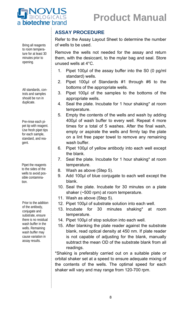

#### **ASSAY PROCEDURE**

Refer to the Assay Layout Sheet to determine the number of wells to be used.

Remove the wells not needed for the assay and return them, with the desiccant, to the mylar bag and seal. Store unused wells at 4°C.

- 1. Pipet 100µl of the assay buffer into the S0 (0 pg/ml standard) wells.
- 2. Pipet 100µl of Standards #1 through #6 to the bottoms of the appropriate wells.
- 3. Pipet 100µl of the samples to the bottoms of the appropriate wells.
- 4. Seal the plate. Incubate for 1 hour shaking\* at room temperature.
- 5. Empty the contents of the wells and wash by adding 400µl of wash buffer to every well. Repeat 4 more times for a total of 5 washes. After the final wash, empty or aspirate the wells and firmly tap the plate on a lint free paper towel to remove any remaining wash buffer.
- 6. Pipet 100µl of yellow antibody into each well except the blank.
- 7. Seal the plate. Incubate for 1 hour shaking\* at room temperature.
- 8. Wash as above (Step 5).
- 9. Add 100µl of blue conjugate to each well except the blank.
- 10. Seal the plate. Incubate for 30 minutes on a plate shaker (~500 rpm) at room temperature.
- 11. Wash as above (Step 5).
- 12. Pipet 100µl of substrate solution into each well.
- 13. Incubate for 30 minutes shaking\* at room temperature.
- 14. Pipet 100µl of stop solution into each well.
- 15. After blanking the plate reader against the substrate blank, read optical density at 450 nm. If plate reader is not capable of adjusting for the blank, manually subtract the mean OD of the substrate blank from all readings.

\*Shaking is preferably carried out on a suitable plate or orbital shaker set at a speed to ensure adequate mixing of the contents of the wells. The optimal speed for each shaker will vary and may range from 120-700 rpm.

Bring all reagents to room temperature for at least 30 minutes prior to opening.

All standards, controls and samples should be run in duplicate.

Pre-rinse each pipet tip with reagent. Use fresh pipet tips for each sample, standard, and reagent.

Pipet the reagents to the sides of the wells to avoid possible contamination.

Prior to the addition of the antibody, conjugate and substrate, ensure there is no residual wash buffer in the wells. Remaining wash buffer may cause variation in assay results.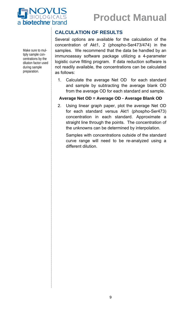



Make sure to multiply sample concentrations by the dilution factor used during sample preparation.

#### **CALCULATION OF RESULTS**

Several options are available for the calculation of the concentration of Akt1, 2 (phospho-Ser473/474) in the samples. We recommend that the data be handled by an immunoassay software package utilizing a 4-parameter logistic curve fitting program. If data reduction software is not readily available, the concentrations can be calculated as follows:

1. Calculate the average Net OD for each standard and sample by subtracting the average blank OD from the average OD for each standard and sample.

#### **Average Net OD = Average OD - Average Blank OD**

2. Using linear graph paper, plot the average Net OD for each standard versus Akt1 (phospho-Ser473) concentration in each standard. Approximate a straight line through the points. The concentration of the unknowns can be determined by interpolation.

Samples with concentrations outside of the standard curve range will need to be re-analyzed using a different dilution.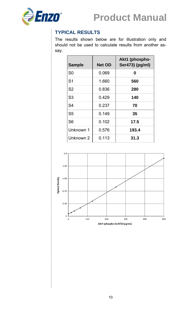

### **TYPICAL RESULTS**

The results shown below are for illustration only and should not be used to calculate results from another assay.

| <b>Sample</b>  | <b>Net OD</b> | Akt1 (phospho-<br>Ser473) (pg/ml) |
|----------------|---------------|-----------------------------------|
| S <sub>0</sub> | 0.069         | N                                 |
| S <sub>1</sub> | 1.660         | 560                               |
| S <sub>2</sub> | 0.836         | 280                               |
| S <sub>3</sub> | 0.429         | 140                               |
| S <sub>4</sub> | 0.237         | 70                                |
| S <sub>5</sub> | 0.149         | 35                                |
| S <sub>6</sub> | 0.102         | 17.5                              |
| Unknown 1      | 0.576         | 193.4                             |
| Unknown 2      | 0.113         | 31.3                              |

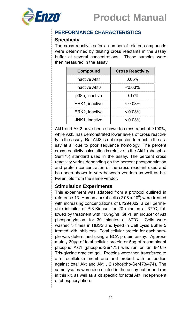

#### **PERFORMANCE CHARACTERISTICS**

#### **Specificity**

The cross reactivities for a number of related compounds were determined by diluting cross reactants in the assay buffer at several concentrations. These samples were then measured in the assay.

| <b>Compound</b>        | <b>Cross Reactivity</b> |
|------------------------|-------------------------|
| <b>Inactive Akt1</b>   | 0.05%                   |
| Inactive Akt3          | $< 0.03\%$              |
| $p38\alpha$ , inactive | 0.17%                   |
| ERK1, inactive         | $< 0.03\%$              |
| ERK2, inactive         | $< 0.03\%$              |
| JNK1, inactive         | $< 0.03\%$              |

Akt1 and Akt2 have been shown to cross react at ≥100%, while Akt3 has demonstrated lower levels of cross reactivity in the assay. Rat Akt3 is not expected to react in the assay at all due to poor sequence homology. The percent cross reactivity calculation is relative to the Akt1 (phospho-Ser473) standard used in the assay. The percent cross reactivity varies depending on the percent phosphorylation and protein concentration of the cross reactant used and has been shown to vary between vendors as well as between lots from the same vendor.

#### **Stimulation Experiments**

This experiment was adapted from a protocol outlined in reference 13. Human Jurkat cells (2.08 x 10 $^6$ ) were treated with increasing concentrations of LY294002, a cell permeable inhibitor of PI3-Kinase, for 20 minutes at 37°C, followed by treatment with 100ng/ml IGF-1, an inducer of Akt phosphorylation, for 30 minutes at 37°C. Cells were washed 3 times in HBSS and lysed in Cell Lysis Buffer 5 treated with inhibitors. Total cellular protein for each sample was determined using a BCA protein assay. Approximately 30µg of total cellular protein or 5ng of recombinant phospho Akt1 (phospho-Ser473) was run on an 8-16% Tris-glycine gradient gel. Proteins were then transferred to a nitrocellulose membrane and probed with antibodies against total Akt and Akt1, 2 (phospho-Ser473/474). The same lysates were also diluted in the assay buffer and run in this kit, as well as a kit specific for total Akt, independent of phosphorylation.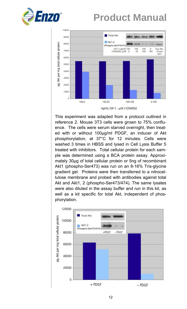



This experiment was adapted from a protocol outlined in reference 2. Mouse 3T3 cells were grown to 75% confluence. The cells were serum starved overnight, then treated with or without 100µg/ml PDGF, an inducer of Akt phosphorylation, at 37°C for 12 minutes. Cells were washed 3 times in HBSS and lysed in Cell Lysis Buffer 5 treated with inhibitors. Total cellular protein for each sample was determined using a BCA protein assay. Approximately 30µg of total cellular protein or 5ng of recombinant Akt1 (phospho-Ser473) was run on an 8-16% Tris-glycine gradient gel. Proteins were then transferred to a nitrocellulose membrane and probed with antibodies against total Akt and Akt1, 2 (phospho-Ser473/474). The same lysates were also diluted in the assay buffer and run in this kit, as well as a kit specific for total Akt, independent of phosphorylation.

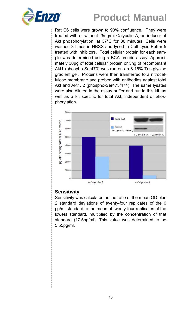

Rat C6 cells were grown to 90% confluence. They were treated with or without 25ng/ml Calyculin A, an inducer of Akt phosphorylation, at 37°C for 30 minutes. Cells were washed 3 times in HBSS and lysed in Cell Lysis Buffer 5 treated with inhibitors. Total cellular protein for each sample was determined using a BCA protein assay. Approximately 30µg of total cellular protein or 5ng of recombinant Akt1 (phospho-Ser473) was run on an 8-16% Tris-glycine gradient gel. Proteins were then transferred to a nitrocellulose membrane and probed with antibodies against total Akt and Akt1, 2 (phospho-Ser473/474). The same lysates were also diluted in the assay buffer and run in this kit, as well as a kit specific for total Akt, independent of phosphorylation.



### **Sensitivity**

Sensitivity was calculated as the ratio of the mean OD plus 2 standard deviations of twenty-four replicates of the 0 pg/ml standard to the mean of twenty-four replicates of the lowest standard, multiplied by the concentration of that standard (17.5pg/ml). This value was determined to be 5.55pg/ml.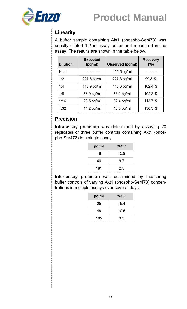

### **Linearity**

A buffer sample containing Akt1 (phospho-Ser473) was serially diluted 1:2 in assay buffer and measured in the assay. The results are shown in the table below.

| <b>Dilution</b> | <b>Expected</b><br>(pg/ml) | Observed (pg/ml) | <b>Recovery</b><br>(%) |
|-----------------|----------------------------|------------------|------------------------|
| <b>Neat</b>     |                            | 455.5 pg/ml      |                        |
| 1:2             | 227.8 pg/ml                | 227.3 pg/ml      | 99.8 %                 |
| 1:4             | 113.9 pg/ml                | 116.6 pg/ml      | 102.4%                 |
| 1:8             | 56.9 pg/ml                 | 58.2 pg/ml       | 102.3 %                |
| 1:16            | 28.5 pg/ml                 | $32.4$ pg/ml     | 113.7 %                |
| 1:32            | 14.2 $pg/ml$               | 18.5 pg/ml       | 130.3 %                |

### **Precision**

**Intra-assay precision** was determined by assaying 20 replicates of three buffer controls containing Akt1 (phospho-Ser473) in a single assay.

| pg/ml | %CV  |
|-------|------|
| 18    | 15.9 |
| 46    | 9.7  |
| 181   | 2.5  |

**Inter-assay precision** was determined by measuring buffer controls of varying Akt1 (phospho-Ser473) concentrations in multiple assays over several days.

| pg/ml | %CV  |
|-------|------|
| 25    | 15.4 |
| 48    | 10.5 |
| 185   | 3.3  |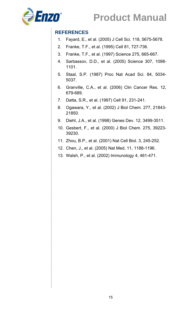

#### **REFERENCES**

- 1. Fayard, E., et al. (2005) J Cell Sci. 118, 5675-5678.
- 2. Franke, T.F., et al. (1995) Cell 81, 727-736.
- 3. Franke, T.F., et al. (1997) Science 275, 665-667.
- 4. Sarbassov, D.D., et al. (2005) Science 307, 1098- 1101.
- 5. Staal, S.P. (1987) Proc Nat Acad Sci. 84, 5034- 5037.
- 6. Granville, C.A., et al. (2006) Clin Cancer Res. 12, 679-689.
- 7. Datta, S.R., et al. (1997) Cell 91, 231-241.
- 8. Ogawara, Y., et al. (2002) J Biol Chem. 277, 21843- 21850.
- 9. Diehl, J.A., et al. (1998) Genes Dev. 12, 3499-3511.
- 10. Gesbert, F., et al. (2000) J Biol Chem. 275, 39223- 39230.
- 11. Zhou, B.P., et al. (2001) Nat Cell Biol. 3, 245-252.
- 12. Chen, J., et al. (2005) Nat Med. 11, 1188-1196.
- 13. Walsh, P., et al. (2002) Immunology 4, 461-471.